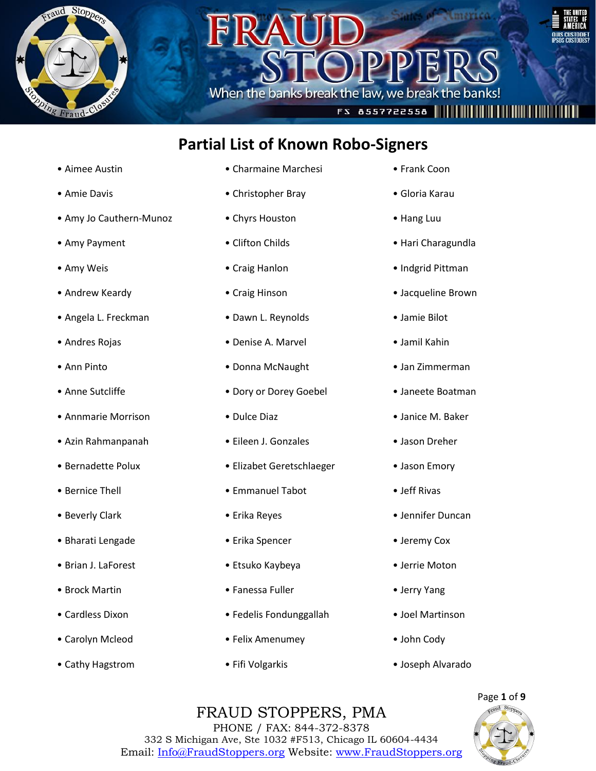



### **Partial List of Known Robo-Signers**

When the banks break the law, we break the bay

- Aimee Austin
- Amie Davis
- Amy Jo Cauthern-Munoz
- Amy Payment
- Amy Weis
- Andrew Keardy
- Angela L. Freckman
- Andres Rojas
- Ann Pinto
- Anne Sutcliffe
- Annmarie Morrison
- Azin Rahmanpanah
- Bernadette Polux
- Bernice Thell
- Beverly Clark
- Bharati Lengade
- Brian J. LaForest
- Brock Martin
- Cardless Dixon
- Carolyn Mcleod
- Cathy Hagstrom
- Charmaine Marchesi
- Christopher Bray
- Chyrs Houston
- Clifton Childs
- Craig Hanlon
- Craig Hinson
- Dawn L. Reynolds
- Denise A. Marvel
- Donna McNaught
- Dory or Dorey Goebel
- Dulce Diaz
- Eileen J. Gonzales
- Elizabet Geretschlaeger
- Emmanuel Tabot
- Erika Reyes
- Erika Spencer
- Etsuko Kaybeya
- Fanessa Fuller
- Fedelis Fondunggallah
- Felix Amenumey
- Fifi Volgarkis

• Frank Coon

FS 8557722558 |||||||||||||||||||||||

- Gloria Karau
- Hang Luu
- Hari Charagundla
- Indgrid Pittman
- Jacqueline Brown
- Jamie Bilot
- Jamil Kahin
- Jan Zimmerman
- Janeete Boatman
- Janice M. Baker
- Jason Dreher
- Jason Emory
- Jeff Rivas
- Jennifer Duncan
- Jeremy Cox
- Jerrie Moton
- Jerry Yang
- Joel Martinson
- John Cody
- Joseph Alvarado

### FRAUD STOPPERS, PMA PHONE / FAX: 844-372-8378

332 S Michigan Ave, Ste 1032 #F513, Chicago IL 60604-4434 Email: Info@FraudStoppers.org Website: www.FraudStoppers.org

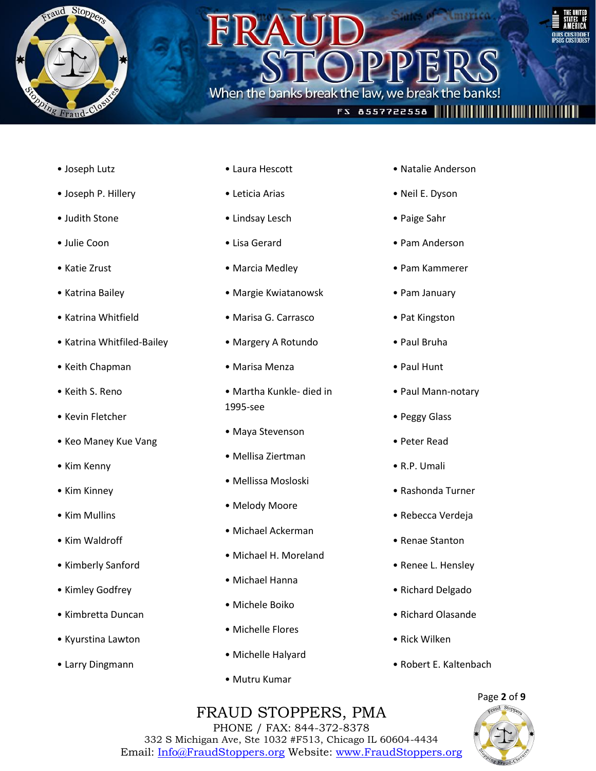

### When the banks break the law, we break the banks



### FS 8557722558 |||||||||||||||||||||||

- Joseph Lutz
- Joseph P. Hillery
- Judith Stone
- Julie Coon
- Katie Zrust
- Katrina Bailey
- Katrina Whitfield
- Katrina Whitfiled-Bailey
- Keith Chapman
- Keith S. Reno
- Kevin Fletcher
- Keo Maney Kue Vang
- Kim Kenny
- Kim Kinney
- Kim Mullins
- Kim Waldroff
- Kimberly Sanford
- Kimley Godfrey
- Kimbretta Duncan
- Kyurstina Lawton
- Larry Dingmann
- Laura Hescott
- Leticia Arias
- Lindsay Lesch
- Lisa Gerard
- Marcia Medley
- Margie Kwiatanowsk
- Marisa G. Carrasco
- Margery A Rotundo
- Marisa Menza
- Martha Kunkle- died in 1995-see
- Maya Stevenson
- Mellisa Ziertman
- Mellissa Mosloski
- Melody Moore
- Michael Ackerman
- Michael H. Moreland
- Michael Hanna
- Michele Boiko
- Michelle Flores
- Michelle Halyard
- Mutru Kumar
- Natalie Anderson
- Neil E. Dyson
- Paige Sahr
- Pam Anderson
- Pam Kammerer
- Pam January
- Pat Kingston
- Paul Bruha
- Paul Hunt
- Paul Mann-notary
- Peggy Glass
- Peter Read
- R.P. Umali
- Rashonda Turner
- Rebecca Verdeja
- Renae Stanton
- Renee L. Hensley
- Richard Delgado
- Richard Olasande
- Rick Wilken
- Robert E. Kaltenbach

### Page **2** of **9** FRAUD STOPPERS, PMA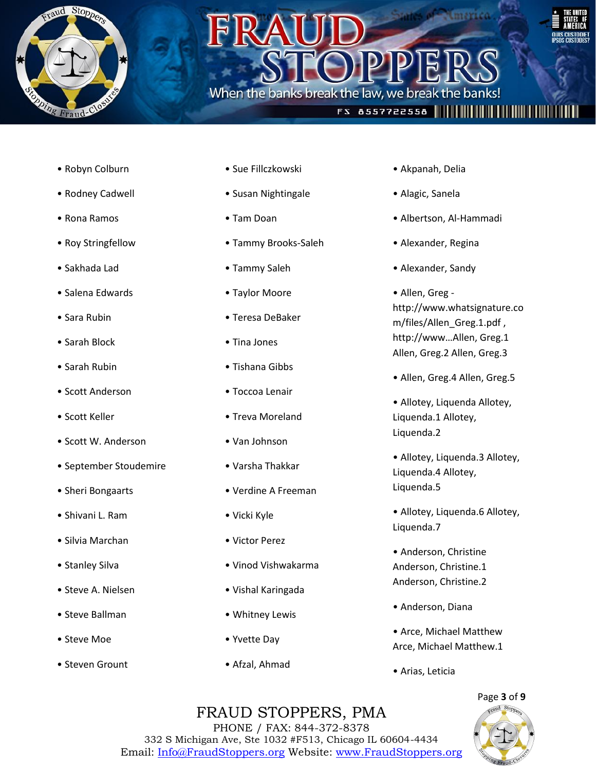

## When the banks break the law, we break the bar



### • Robyn Colburn

- Rodney Cadwell
- Rona Ramos
- Roy Stringfellow
- Sakhada Lad
- Salena Edwards
- Sara Rubin
- Sarah Block
- Sarah Rubin
- Scott Anderson
- Scott Keller
- Scott W. Anderson
- September Stoudemire
- Sheri Bongaarts
- Shivani L. Ram
- Silvia Marchan
- Stanley Silva
- Steve A. Nielsen
- Steve Ballman
- Steve Moe
- Steven Grount
- Sue Fillczkowski
- Susan Nightingale
- Tam Doan
- Tammy Brooks-Saleh
- Tammy Saleh
- Taylor Moore
- Teresa DeBaker
- Tina Jones
- Tishana Gibbs
- Toccoa Lenair
- Treva Moreland
- Van Johnson
- Varsha Thakkar
- Verdine A Freeman
- Vicki Kyle
- Victor Perez
- Vinod Vishwakarma
- Vishal Karingada
- Whitney Lewis
- Yvette Day
- Afzal, Ahmad

• Akpanah, Delia

**FS 8557722558 |||||||||||||||||||||** 

- Alagic, Sanela
- Albertson, Al-Hammadi
- Alexander, Regina
- Alexander, Sandy
- Allen, Greg http://www.whatsignature.co m/files/Allen\_Greg.1.pdf , http://www…Allen, Greg.1 Allen, Greg.2 Allen, Greg.3
- Allen, Greg.4 Allen, Greg.5
- Allotey, Liquenda Allotey, Liquenda.1 Allotey, Liquenda.2
- Allotey, Liquenda.3 Allotey, Liquenda.4 Allotey, Liquenda.5
- Allotey, Liquenda.6 Allotey, Liquenda.7
- Anderson, Christine Anderson, Christine.1 Anderson, Christine.2
- Anderson, Diana
- Arce, Michael Matthew Arce, Michael Matthew.1
- Arias, Leticia

### Page **3** of **9**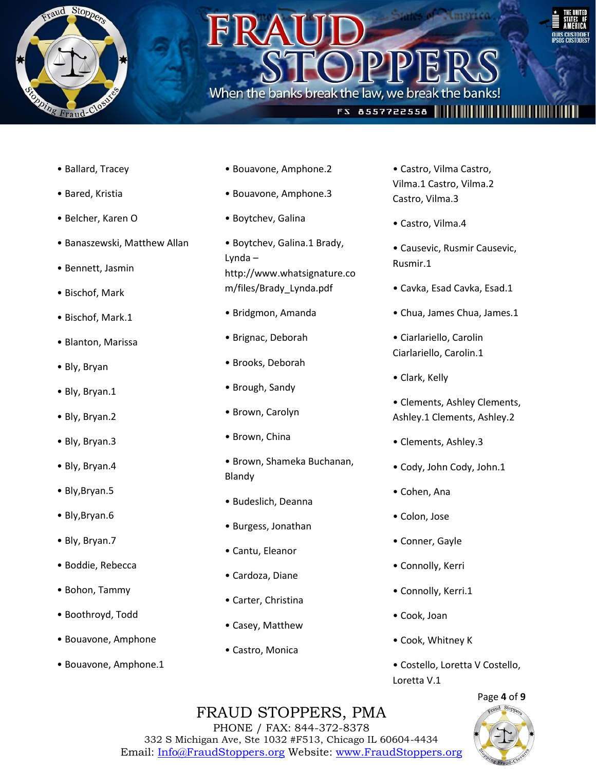

• Ballard, Tracey

• Bared, Kristia

• Belcher, Karen O

• Bennett, Jasmin

• Bischof, Mark

• Bischof, Mark.1

• Blanton, Marissa

• Bly, Bryan

• Bly, Bryan.1

• Bly, Bryan.2

• Bly, Bryan.3

• Bly, Bryan.4

• Bly,Bryan.5

• Bly,Bryan.6

• Bly, Bryan.7

• Banaszewski, Matthew Allan

### • Bouavone, Amphone.2

When the banks break the law, we break the bar

- Bouavone, Amphone.3
- Boytchev, Galina
- Boytchev, Galina.1 Brady, Lynda – http://www.whatsignature.co m/files/Brady\_Lynda.pdf
- Bridgmon, Amanda
- Brignac, Deborah
- Brooks, Deborah
- Brough, Sandy
- Brown, Carolyn
- Brown, China
- Brown, Shameka Buchanan, Blandy
- Budeslich, Deanna
- Burgess, Jonathan
- Cantu, Eleanor
- Cardoza, Diane
- Carter, Christina
- Casey, Matthew
- Castro, Monica

• Castro, Vilma Castro, Vilma.1 Castro, Vilma.2 Castro, Vilma.3

**FS 8557722558 ||||||||||||||||||||**||

- Castro, Vilma.4
- Causevic, Rusmir Causevic, Rusmir.1
- Cavka, Esad Cavka, Esad.1
- Chua, James Chua, James.1
- Ciarlariello, Carolin Ciarlariello, Carolin.1
- Clark, Kelly
- Clements, Ashley Clements, Ashley.1 Clements, Ashley.2
- Clements, Ashley.3
- Cody, John Cody, John.1
- Cohen, Ana
- Colon, Jose
- Conner, Gayle
- Connolly, Kerri
- Connolly, Kerri.1
- Cook, Joan
- Cook, Whitney K
- Costello, Loretta V Costello, Loretta V.1



### FRAUD STOPPERS, PMA

PHONE / FAX: 844-372-8378 332 S Michigan Ave, Ste 1032 #F513, Chicago IL 60604-4434 Email: Info@FraudStoppers.org Website: www.FraudStoppers.org

### • Boddie, Rebecca

- Bohon, Tammy
- Boothroyd, Todd
- Bouavone, Amphone
- Bouavone, Amphone.1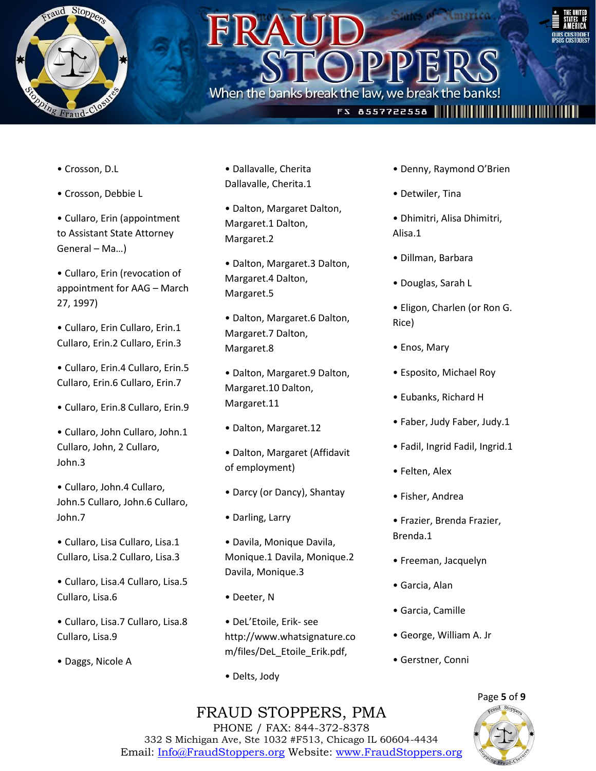

# When the banks break the law, we break the bar



### **FS 8557722558 ||||||||||||||||||||||**

- Crosson, D.L
- Crosson, Debbie L
- Cullaro, Erin (appointment to Assistant State Attorney General – Ma…)
- Cullaro, Erin (revocation of appointment for AAG – March 27, 1997)
- Cullaro, Erin Cullaro, Erin.1 Cullaro, Erin.2 Cullaro, Erin.3
- Cullaro, Erin.4 Cullaro, Erin.5 Cullaro, Erin.6 Cullaro, Erin.7
- Cullaro, Erin.8 Cullaro, Erin.9
- Cullaro, John Cullaro, John.1 Cullaro, John, 2 Cullaro, John.3
- Cullaro, John.4 Cullaro, John.5 Cullaro, John.6 Cullaro, John.7
- Cullaro, Lisa Cullaro, Lisa.1 Cullaro, Lisa.2 Cullaro, Lisa.3
- Cullaro, Lisa.4 Cullaro, Lisa.5 Cullaro, Lisa.6
- Cullaro, Lisa.7 Cullaro, Lisa.8 Cullaro, Lisa.9
- Daggs, Nicole A
- Dallavalle, Cherita Dallavalle, Cherita.1
- Dalton, Margaret Dalton, Margaret.1 Dalton, Margaret.2
- Dalton, Margaret.3 Dalton, Margaret.4 Dalton, Margaret.5
- Dalton, Margaret.6 Dalton, Margaret.7 Dalton, Margaret.8
- Dalton, Margaret.9 Dalton, Margaret.10 Dalton, Margaret.11
- Dalton, Margaret.12
- Dalton, Margaret (Affidavit of employment)
- Darcy (or Dancy), Shantay
- Darling, Larry
- Davila, Monique Davila, Monique.1 Davila, Monique.2 Davila, Monique.3
- Deeter, N
- DeL'Etoile, Erik- see http://www.whatsignature.co m/files/DeL\_Etoile\_Erik.pdf,
- Delts, Jody
- Denny, Raymond O'Brien
- Detwiler, Tina
- Dhimitri, Alisa Dhimitri, Alisa.1
- Dillman, Barbara
- Douglas, Sarah L
- Eligon, Charlen (or Ron G. Rice)
- Enos, Mary
- Esposito, Michael Roy
- Eubanks, Richard H
- Faber, Judy Faber, Judy.1
- Fadil, Ingrid Fadil, Ingrid.1
- Felten, Alex
- Fisher, Andrea
- Frazier, Brenda Frazier, Brenda.1
- Freeman, Jacquelyn
- Garcia, Alan
- Garcia, Camille
- George, William A. Jr
- Gerstner, Conni

### FRAUD STOPPERS, PMA

Page **5** of **9**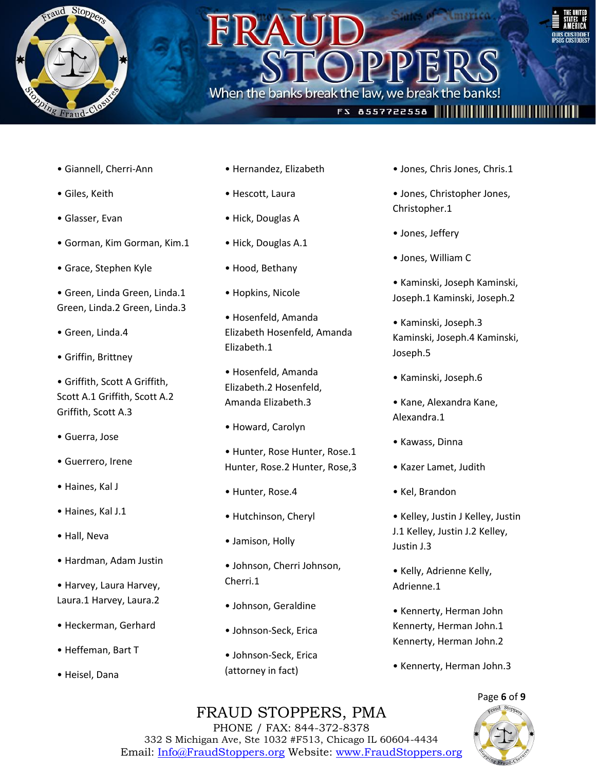

• Giannell, Cherri-Ann

• Grace, Stephen Kyle

• Green, Linda.4

• Griffin, Brittney

Griffith, Scott A.3

• Guerrero, Irene

• Guerra, Jose

• Haines, Kal J

• Haines, Kal J.1

• Hardman, Adam Justin

• Harvey, Laura Harvey, Laura.1 Harvey, Laura.2

• Heckerman, Gerhard

• Heffeman, Bart T

• Heisel, Dana

• Hall, Neva

• Griffith, Scott A Griffith, Scott A.1 Griffith, Scott A.2

• Gorman, Kim Gorman, Kim.1

• Green, Linda Green, Linda.1 Green, Linda.2 Green, Linda.3

• Giles, Keith

• Glasser, Evan

### • Hernandez, Elizabeth

When the banks break the law, we break the bar

- Hescott, Laura
- Hick, Douglas A
- Hick, Douglas A.1
- Hood, Bethany
- Hopkins, Nicole
- Hosenfeld, Amanda Elizabeth Hosenfeld, Amanda Elizabeth.1
- Hosenfeld, Amanda Elizabeth.2 Hosenfeld, Amanda Elizabeth.3
- Howard, Carolyn

• Hunter, Rose Hunter, Rose.1 Hunter, Rose.2 Hunter, Rose,3

- Hunter, Rose.4
- Hutchinson, Cheryl
- Jamison, Holly
- Johnson, Cherri Johnson, Cherri.1
- Johnson, Geraldine
- Johnson-Seck, Erica
- Johnson-Seck, Erica (attorney in fact)

• Jones, Chris Jones, Chris.1

**FS 8557722558 ||||||||||||||||||||||||** 

- Jones, Christopher Jones, Christopher.1
- Jones, Jeffery
- Jones, William C
- Kaminski, Joseph Kaminski, Joseph.1 Kaminski, Joseph.2
- Kaminski, Joseph.3 Kaminski, Joseph.4 Kaminski, Joseph.5
- Kaminski, Joseph.6
- Kane, Alexandra Kane, Alexandra.1
- Kawass, Dinna
- Kazer Lamet, Judith
- Kel, Brandon
- Kelley, Justin J Kelley, Justin J.1 Kelley, Justin J.2 Kelley, Justin J.3
- Kelly, Adrienne Kelly, Adrienne.1
- Kennerty, Herman John Kennerty, Herman John.1 Kennerty, Herman John.2
- Kennerty, Herman John.3

### FRAUD STOPPERS, PMA

Page **6** of **9**



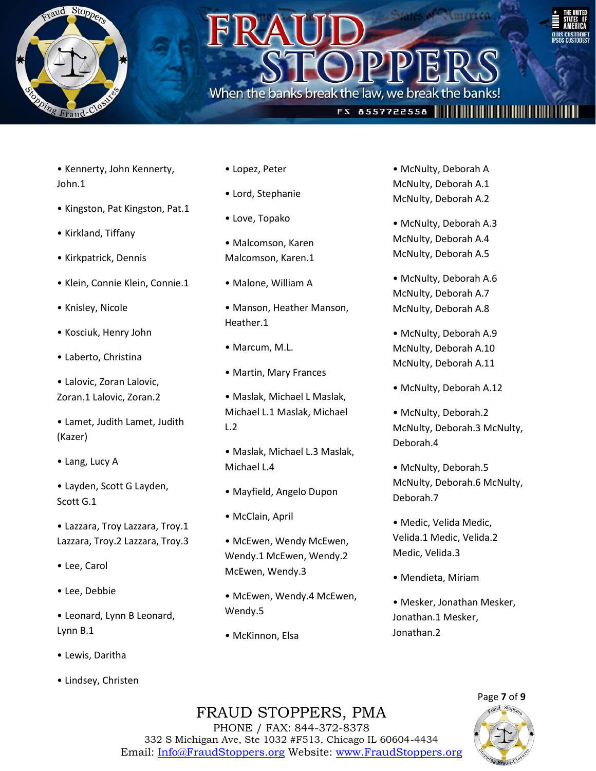

### When the banks break the law, we break the bank



### FS 8557722558 ||||||||||||||||||||||||

- Kennerty, John Kennerty, John.1
- Kingston, Pat Kingston, Pat.1
- Kirkland, Tiffany
- Kirkpatrick, Dennis
- Klein, Connie Klein, Connie.1
- Knisley, Nicole
- Kosciuk, Henry John
- Laberto, Christina
- Lalovic, Zoran Lalovic, Zoran.1 Lalovic, Zoran.2
- Lamet, Judith Lamet, Judith (Kazer)
- Lang, Lucy A
- Layden, Scott G Layden, Scott G.1
- Lazzara, Troy Lazzara, Troy.1 Lazzara, Troy.2 Lazzara, Troy.3
- Lee, Carol
- Lee, Debbie
- Leonard, Lynn B Leonard, Lynn B.1
- Lewis, Daritha
- Lindsey, Christen
- Lopez, Peter
- Lord, Stephanie
- Love, Topako
- Malcomson, Karen Malcomson, Karen.1
- Malone, William A
- Manson, Heather Manson, Heather.1
- Marcum, M.L.
- Martin, Mary Frances
- Maslak, Michael L Maslak, Michael L.1 Maslak, Michael L.2
- Maslak, Michael L.3 Maslak, Michael L.4
- Mayfield, Angelo Dupon
- McClain, April
- McEwen, Wendy McEwen, Wendy.1 McEwen, Wendy.2 McEwen, Wendy.3
- McEwen, Wendy.4 McEwen, Wendy.5
- McKinnon, Elsa
- McNulty, Deborah A McNulty, Deborah A.1 McNulty, Deborah A.2
- McNulty, Deborah A.3 McNulty, Deborah A.4 McNulty, Deborah A.5
- McNulty, Deborah A.6 McNulty, Deborah A.7 McNulty, Deborah A.8
- McNulty, Deborah A.9 McNulty, Deborah A.10 McNulty, Deborah A.11
- McNulty, Deborah A.12
- McNulty, Deborah.2 McNulty, Deborah.3 McNulty, Deborah.4
- McNulty, Deborah.5 McNulty, Deborah.6 McNulty, Deborah.7
- Medic, Velida Medic, Velida.1 Medic, Velida.2 Medic, Velida.3
- Mendieta, Miriam
- Mesker, Jonathan Mesker, Jonathan.1 Mesker, Jonathan.2



### FRAUD STOPPERS, PMA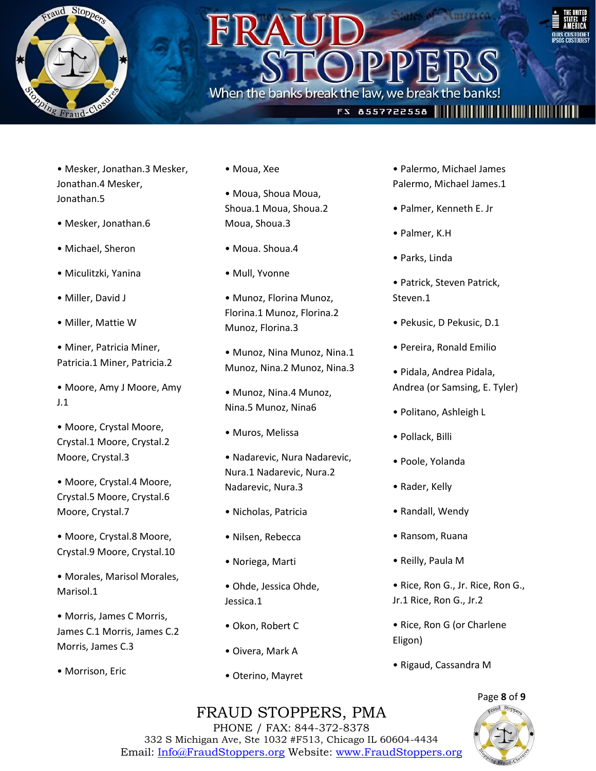

### When the banks break the law, we break the bank



### **FS 8557722558 |||||||||||||||||||||||**

- Mesker, Jonathan.3 Mesker, Jonathan.4 Mesker, Jonathan.5
- Mesker, Jonathan.6
- Michael, Sheron
- Miculitzki, Yanina
- Miller, David J
- Miller, Mattie W
- Miner, Patricia Miner, Patricia.1 Miner, Patricia.2
- Moore, Amy J Moore, Amy J.1
- Moore, Crystal Moore, Crystal.1 Moore, Crystal.2 Moore, Crystal.3
- Moore, Crystal.4 Moore, Crystal.5 Moore, Crystal.6 Moore, Crystal.7
- Moore, Crystal.8 Moore, Crystal.9 Moore, Crystal.10
- Morales, Marisol Morales, Marisol.1
- Morris, James C Morris, James C.1 Morris, James C.2 Morris, James C.3
- Morrison, Eric
- Moua, Xee
- Moua, Shoua Moua, Shoua.1 Moua, Shoua.2 Moua, Shoua.3
- Moua. Shoua.4
- Mull, Yvonne
- Munoz, Florina Munoz, Florina.1 Munoz, Florina.2 Munoz, Florina.3
- Munoz, Nina Munoz, Nina.1 Munoz, Nina.2 Munoz, Nina.3
- Munoz, Nina.4 Munoz, Nina.5 Munoz, Nina6
- Muros, Melissa
- Nadarevic, Nura Nadarevic, Nura.1 Nadarevic, Nura.2 Nadarevic, Nura.3
- Nicholas, Patricia
- Nilsen, Rebecca
- Noriega, Marti
- Ohde, Jessica Ohde, Jessica.1
- Okon, Robert C
- Oivera, Mark A
- Oterino, Mayret
- Palermo, Michael James Palermo, Michael James.1
- Palmer, Kenneth E. Jr
- Palmer, K.H
- Parks, Linda
- Patrick, Steven Patrick, Steven.1
- Pekusic, D Pekusic, D.1
- Pereira, Ronald Emilio
- Pidala, Andrea Pidala, Andrea (or Samsing, E. Tyler)
- Politano, Ashleigh L
- Pollack, Billi
- Poole, Yolanda
- Rader, Kelly
- Randall, Wendy
- Ransom, Ruana
- Reilly, Paula M
- Rice, Ron G., Jr. Rice, Ron G., Jr.1 Rice, Ron G., Jr.2
- Rice, Ron G (or Charlene Eligon)
- Rigaud, Cassandra M

### FRAUD STOPPERS, PMA

Page **8** of **9**